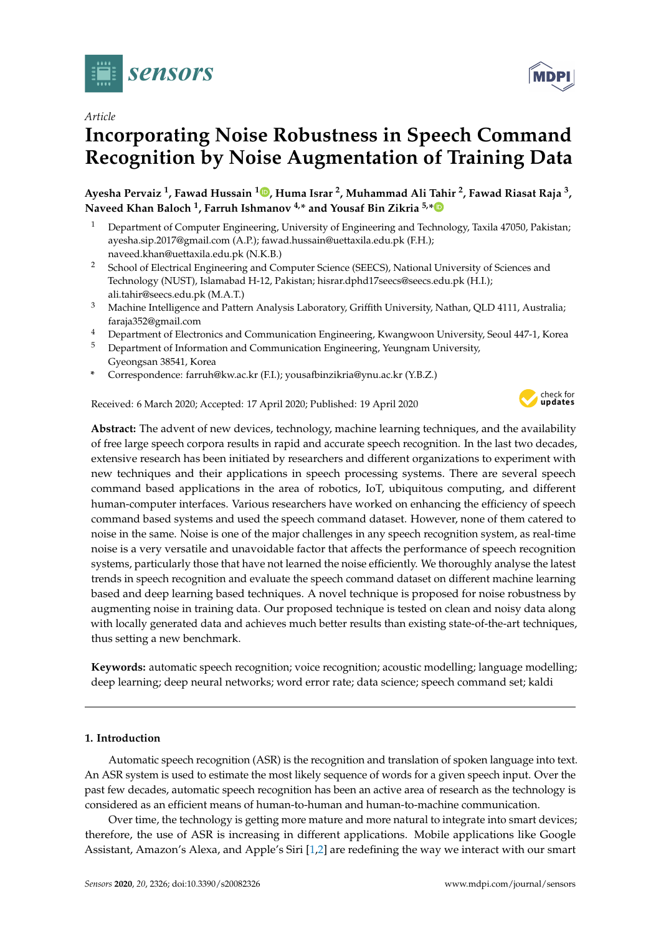

*Article*

# **Incorporating Noise Robustness in Speech Command Recognition by Noise Augmentation of Training Data**

**Ayesha Pervaiz <sup>1</sup> , Fawad Hussain <sup>1</sup> [,](https://orcid.org/0000-0002-7819-5990) Huma Israr <sup>2</sup> , Muhammad Ali Tahir <sup>2</sup> , Fawad Riasat Raja <sup>3</sup> , Naveed Khan Baloch <sup>1</sup> , Farruh Ishmanov 4,\* and Yousaf Bin Zikria 5,[\\*](https://orcid.org/0000-0002-6570-5306)**

- <sup>1</sup> Department of Computer Engineering, University of Engineering and Technology, Taxila 47050, Pakistan; ayesha.sip.2017@gmail.com (A.P.); fawad.hussain@uettaxila.edu.pk (F.H.); naveed.khan@uettaxila.edu.pk (N.K.B.)
- <sup>2</sup> School of Electrical Engineering and Computer Science (SEECS), National University of Sciences and Technology (NUST), Islamabad H-12, Pakistan; hisrar.dphd17seecs@seecs.edu.pk (H.I.); ali.tahir@seecs.edu.pk (M.A.T.)
- <sup>3</sup> Machine Intelligence and Pattern Analysis Laboratory, Griffith University, Nathan, QLD 4111, Australia; faraja352@gmail.com
- <sup>4</sup> Department of Electronics and Communication Engineering, Kwangwoon University, Seoul 447-1, Korea
- <sup>5</sup> Department of Information and Communication Engineering, Yeungnam University, Gyeongsan 38541, Korea
- **\*** Correspondence: farruh@kw.ac.kr (F.I.); yousafbinzikria@ynu.ac.kr (Y.B.Z.)

Received: 6 March 2020; Accepted: 17 April 2020; Published: 19 April 2020



**Abstract:** The advent of new devices, technology, machine learning techniques, and the availability of free large speech corpora results in rapid and accurate speech recognition. In the last two decades, extensive research has been initiated by researchers and different organizations to experiment with new techniques and their applications in speech processing systems. There are several speech command based applications in the area of robotics, IoT, ubiquitous computing, and different human-computer interfaces. Various researchers have worked on enhancing the efficiency of speech command based systems and used the speech command dataset. However, none of them catered to noise in the same. Noise is one of the major challenges in any speech recognition system, as real-time noise is a very versatile and unavoidable factor that affects the performance of speech recognition systems, particularly those that have not learned the noise efficiently. We thoroughly analyse the latest trends in speech recognition and evaluate the speech command dataset on different machine learning based and deep learning based techniques. A novel technique is proposed for noise robustness by augmenting noise in training data. Our proposed technique is tested on clean and noisy data along with locally generated data and achieves much better results than existing state-of-the-art techniques, thus setting a new benchmark.

**Keywords:** automatic speech recognition; voice recognition; acoustic modelling; language modelling; deep learning; deep neural networks; word error rate; data science; speech command set; kaldi

# **1. Introduction**

Automatic speech recognition (ASR) is the recognition and translation of spoken language into text. An ASR system is used to estimate the most likely sequence of words for a given speech input. Over the past few decades, automatic speech recognition has been an active area of research as the technology is considered as an efficient means of human-to-human and human-to-machine communication.

Over time, the technology is getting more mature and more natural to integrate into smart devices; therefore, the use of ASR is increasing in different applications. Mobile applications like Google Assistant, Amazon's Alexa, and Apple's Siri [\[1](#page-16-0)[,2\]](#page-16-1) are redefining the way we interact with our smart

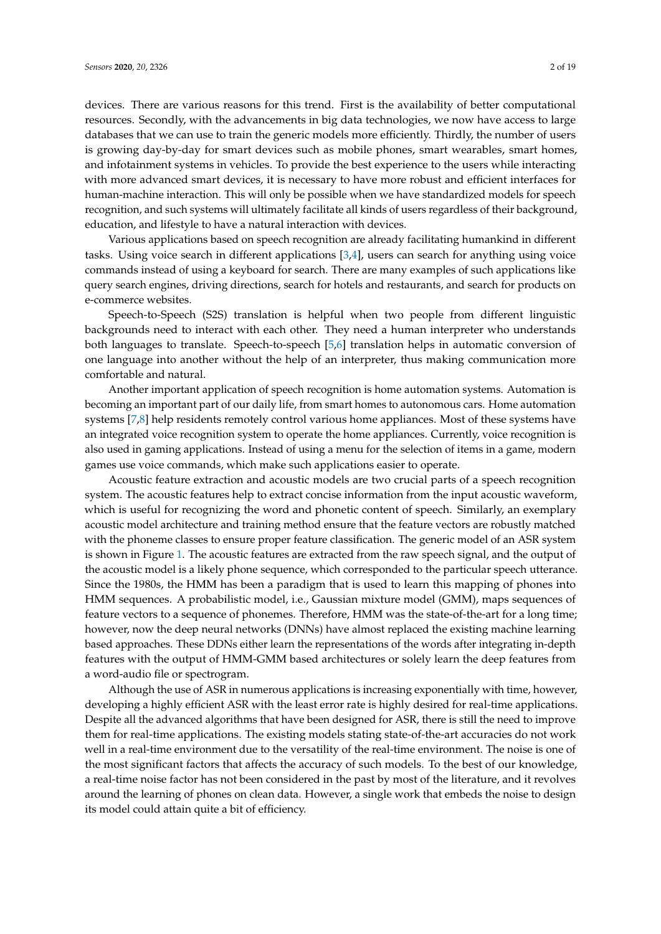devices. There are various reasons for this trend. First is the availability of better computational resources. Secondly, with the advancements in big data technologies, we now have access to large databases that we can use to train the generic models more efficiently. Thirdly, the number of users is growing day-by-day for smart devices such as mobile phones, smart wearables, smart homes, and infotainment systems in vehicles. To provide the best experience to the users while interacting with more advanced smart devices, it is necessary to have more robust and efficient interfaces for human-machine interaction. This will only be possible when we have standardized models for speech recognition, and such systems will ultimately facilitate all kinds of users regardless of their background, education, and lifestyle to have a natural interaction with devices.

Various applications based on speech recognition are already facilitating humankind in different tasks. Using voice search in different applications [\[3](#page-16-2)[,4\]](#page-16-3), users can search for anything using voice commands instead of using a keyboard for search. There are many examples of such applications like query search engines, driving directions, search for hotels and restaurants, and search for products on e-commerce websites.

Speech-to-Speech (S2S) translation is helpful when two people from different linguistic backgrounds need to interact with each other. They need a human interpreter who understands both languages to translate. Speech-to-speech [\[5](#page-16-4)[,6\]](#page-16-5) translation helps in automatic conversion of one language into another without the help of an interpreter, thus making communication more comfortable and natural.

Another important application of speech recognition is home automation systems. Automation is becoming an important part of our daily life, from smart homes to autonomous cars. Home automation systems [\[7,](#page-16-6)[8\]](#page-16-7) help residents remotely control various home appliances. Most of these systems have an integrated voice recognition system to operate the home appliances. Currently, voice recognition is also used in gaming applications. Instead of using a menu for the selection of items in a game, modern games use voice commands, which make such applications easier to operate.

Acoustic feature extraction and acoustic models are two crucial parts of a speech recognition system. The acoustic features help to extract concise information from the input acoustic waveform, which is useful for recognizing the word and phonetic content of speech. Similarly, an exemplary acoustic model architecture and training method ensure that the feature vectors are robustly matched with the phoneme classes to ensure proper feature classification. The generic model of an ASR system is shown in Figure [1.](#page-2-0) The acoustic features are extracted from the raw speech signal, and the output of the acoustic model is a likely phone sequence, which corresponded to the particular speech utterance. Since the 1980s, the HMM has been a paradigm that is used to learn this mapping of phones into HMM sequences. A probabilistic model, i.e., Gaussian mixture model (GMM), maps sequences of feature vectors to a sequence of phonemes. Therefore, HMM was the state-of-the-art for a long time; however, now the deep neural networks (DNNs) have almost replaced the existing machine learning based approaches. These DDNs either learn the representations of the words after integrating in-depth features with the output of HMM-GMM based architectures or solely learn the deep features from a word-audio file or spectrogram.

Although the use of ASR in numerous applications is increasing exponentially with time, however, developing a highly efficient ASR with the least error rate is highly desired for real-time applications. Despite all the advanced algorithms that have been designed for ASR, there is still the need to improve them for real-time applications. The existing models stating state-of-the-art accuracies do not work well in a real-time environment due to the versatility of the real-time environment. The noise is one of the most significant factors that affects the accuracy of such models. To the best of our knowledge, a real-time noise factor has not been considered in the past by most of the literature, and it revolves around the learning of phones on clean data. However, a single work that embeds the noise to design its model could attain quite a bit of efficiency.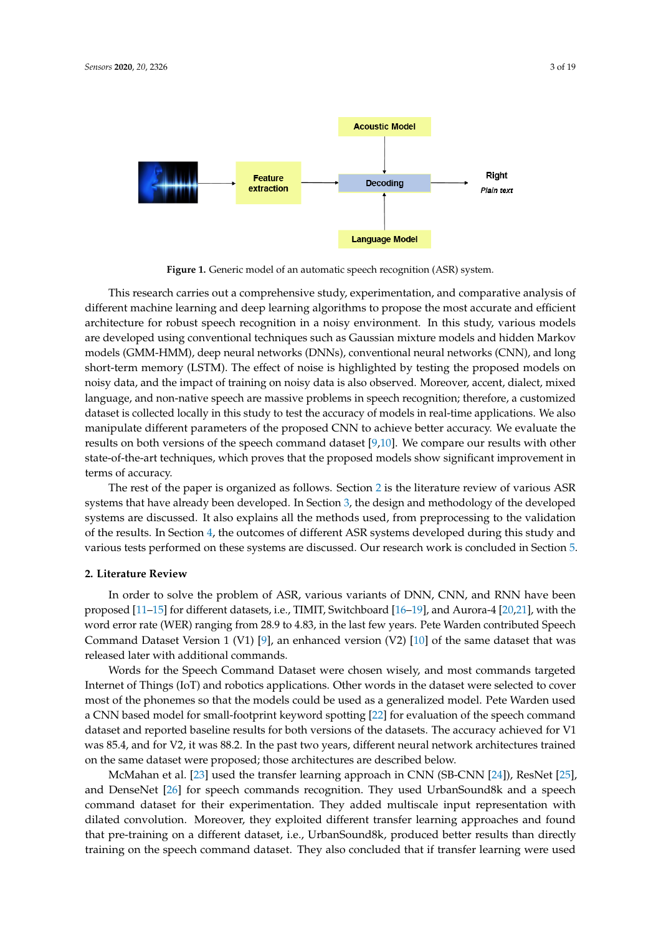<span id="page-2-0"></span>

**Figure 1.** Generic model of an automatic speech recognition (ASR) system.

This research carries out a comprehensive study, experimentation, and comparative analysis of different machine learning and deep learning algorithms to propose the most accurate and efficient architecture for robust speech recognition in a noisy environment. In this study, various models are developed using conventional techniques such as Gaussian mixture models and hidden Markov models (GMM-HMM), deep neural networks (DNNs), conventional neural networks (CNN), and long short-term memory (LSTM). The effect of noise is highlighted by testing the proposed models on noisy data, and the impact of training on noisy data is also observed. Moreover, accent, dialect, mixed language, and non-native speech are massive problems in speech recognition; therefore, a customized dataset is collected locally in this study to test the accuracy of models in real-time applications. We also manipulate different parameters of the proposed CNN to achieve better accuracy. We evaluate the results on both versions of the speech command dataset [\[9,](#page-16-8)[10\]](#page-16-9). We compare our results with other state-of-the-art techniques, which proves that the proposed models show significant improvement in terms of accuracy.

The rest of the paper is organized as follows. Section [2](#page-2-1) is the literature review of various ASR systems that have already been developed. In Section [3,](#page-3-0) the design and methodology of the developed systems are discussed. It also explains all the methods used, from preprocessing to the validation of the results. In Section [4,](#page-11-0) the outcomes of different ASR systems developed during this study and various tests performed on these systems are discussed. Our research work is concluded in Section [5.](#page-15-0)

## <span id="page-2-1"></span>**2. Literature Review**

In order to solve the problem of ASR, various variants of DNN, CNN, and RNN have been proposed [\[11–](#page-16-10)[15\]](#page-16-11) for different datasets, i.e., TIMIT, Switchboard [\[16–](#page-16-12)[19\]](#page-17-0), and Aurora-4 [\[20,](#page-17-1)[21\]](#page-17-2), with the word error rate (WER) ranging from 28.9 to 4.83, in the last few years. Pete Warden contributed Speech Command Dataset Version 1 (V1) [\[9\]](#page-16-8), an enhanced version (V2) [\[10\]](#page-16-9) of the same dataset that was released later with additional commands.

Words for the Speech Command Dataset were chosen wisely, and most commands targeted Internet of Things (IoT) and robotics applications. Other words in the dataset were selected to cover most of the phonemes so that the models could be used as a generalized model. Pete Warden used a CNN based model for small-footprint keyword spotting [\[22\]](#page-17-3) for evaluation of the speech command dataset and reported baseline results for both versions of the datasets. The accuracy achieved for V1 was 85.4, and for V2, it was 88.2. In the past two years, different neural network architectures trained on the same dataset were proposed; those architectures are described below.

McMahan et al. [\[23\]](#page-17-4) used the transfer learning approach in CNN (SB-CNN [\[24\]](#page-17-5)), ResNet [\[25\]](#page-17-6), and DenseNet [\[26\]](#page-17-7) for speech commands recognition. They used UrbanSound8k and a speech command dataset for their experimentation. They added multiscale input representation with dilated convolution. Moreover, they exploited different transfer learning approaches and found that pre-training on a different dataset, i.e., UrbanSound8k, produced better results than directly training on the speech command dataset. They also concluded that if transfer learning were used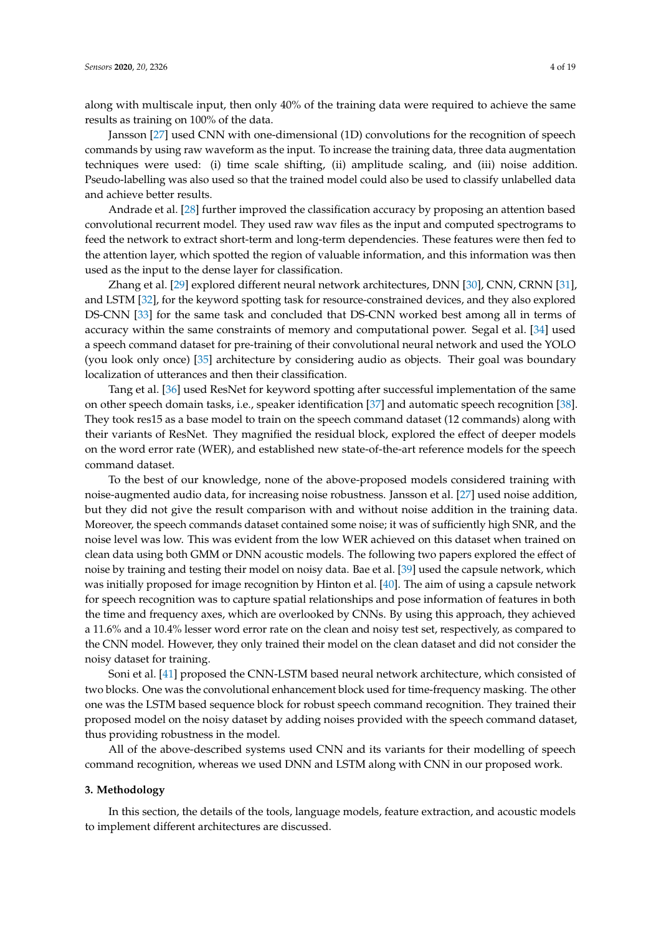along with multiscale input, then only 40% of the training data were required to achieve the same results as training on 100% of the data.

Jansson [\[27\]](#page-17-8) used CNN with one-dimensional (1D) convolutions for the recognition of speech commands by using raw waveform as the input. To increase the training data, three data augmentation techniques were used: (i) time scale shifting, (ii) amplitude scaling, and (iii) noise addition. Pseudo-labelling was also used so that the trained model could also be used to classify unlabelled data and achieve better results.

Andrade et al. [\[28\]](#page-17-9) further improved the classification accuracy by proposing an attention based convolutional recurrent model. They used raw wav files as the input and computed spectrograms to feed the network to extract short-term and long-term dependencies. These features were then fed to the attention layer, which spotted the region of valuable information, and this information was then used as the input to the dense layer for classification.

Zhang et al. [\[29\]](#page-17-10) explored different neural network architectures, DNN [\[30\]](#page-17-11), CNN, CRNN [\[31\]](#page-17-12), and LSTM [\[32\]](#page-17-13), for the keyword spotting task for resource-constrained devices, and they also explored DS-CNN [\[33\]](#page-17-14) for the same task and concluded that DS-CNN worked best among all in terms of accuracy within the same constraints of memory and computational power. Segal et al. [\[34\]](#page-17-15) used a speech command dataset for pre-training of their convolutional neural network and used the YOLO (you look only once) [\[35\]](#page-17-16) architecture by considering audio as objects. Their goal was boundary localization of utterances and then their classification.

Tang et al. [\[36\]](#page-17-17) used ResNet for keyword spotting after successful implementation of the same on other speech domain tasks, i.e., speaker identification [\[37\]](#page-17-18) and automatic speech recognition [\[38\]](#page-17-19). They took res15 as a base model to train on the speech command dataset (12 commands) along with their variants of ResNet. They magnified the residual block, explored the effect of deeper models on the word error rate (WER), and established new state-of-the-art reference models for the speech command dataset.

To the best of our knowledge, none of the above-proposed models considered training with noise-augmented audio data, for increasing noise robustness. Jansson et al. [\[27\]](#page-17-8) used noise addition, but they did not give the result comparison with and without noise addition in the training data. Moreover, the speech commands dataset contained some noise; it was of sufficiently high SNR, and the noise level was low. This was evident from the low WER achieved on this dataset when trained on clean data using both GMM or DNN acoustic models. The following two papers explored the effect of noise by training and testing their model on noisy data. Bae et al. [\[39\]](#page-18-0) used the capsule network, which was initially proposed for image recognition by Hinton et al. [\[40\]](#page-18-1). The aim of using a capsule network for speech recognition was to capture spatial relationships and pose information of features in both the time and frequency axes, which are overlooked by CNNs. By using this approach, they achieved a 11.6% and a 10.4% lesser word error rate on the clean and noisy test set, respectively, as compared to the CNN model. However, they only trained their model on the clean dataset and did not consider the noisy dataset for training.

Soni et al. [\[41\]](#page-18-2) proposed the CNN-LSTM based neural network architecture, which consisted of two blocks. One was the convolutional enhancement block used for time-frequency masking. The other one was the LSTM based sequence block for robust speech command recognition. They trained their proposed model on the noisy dataset by adding noises provided with the speech command dataset, thus providing robustness in the model.

All of the above-described systems used CNN and its variants for their modelling of speech command recognition, whereas we used DNN and LSTM along with CNN in our proposed work.

#### <span id="page-3-0"></span>**3. Methodology**

In this section, the details of the tools, language models, feature extraction, and acoustic models to implement different architectures are discussed.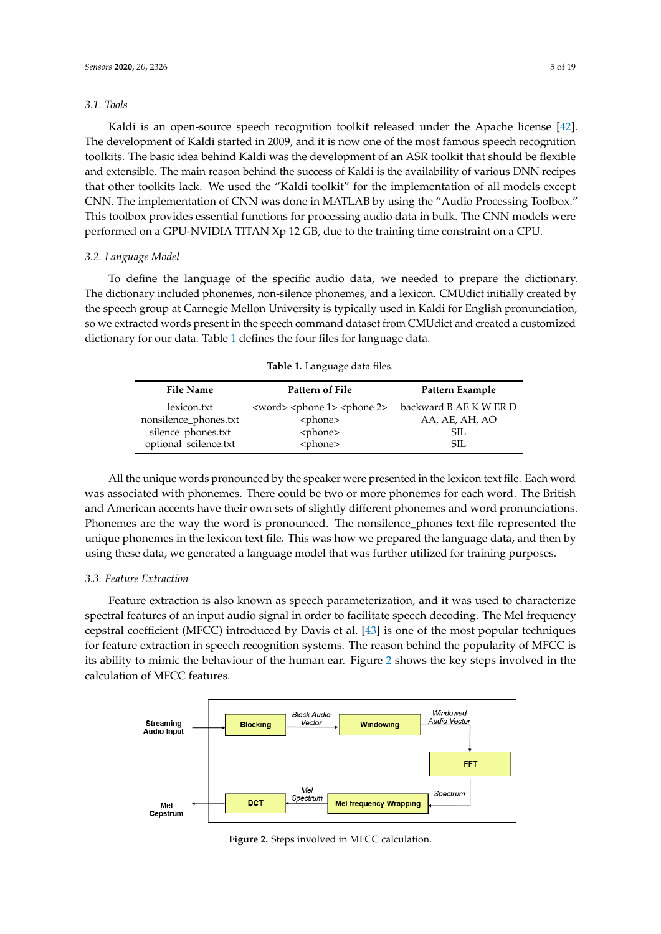## *3.1. Tools*

Kaldi is an open-source speech recognition toolkit released under the Apache license [\[42\]](#page-18-3). The development of Kaldi started in 2009, and it is now one of the most famous speech recognition toolkits. The basic idea behind Kaldi was the development of an ASR toolkit that should be flexible and extensible. The main reason behind the success of Kaldi is the availability of various DNN recipes that other toolkits lack. We used the "Kaldi toolkit" for the implementation of all models except CNN. The implementation of CNN was done in MATLAB by using the "Audio Processing Toolbox." This toolbox provides essential functions for processing audio data in bulk. The CNN models were performed on a GPU-NVIDIA TITAN Xp 12 GB, due to the training time constraint on a CPU.

## *3.2. Language Model*

To define the language of the specific audio data, we needed to prepare the dictionary. The dictionary included phonemes, non-silence phonemes, and a lexicon. CMUdict initially created by the speech group at Carnegie Mellon University is typically used in Kaldi for English pronunciation, so we extracted words present in the speech command dataset from CMUdict and created a customized dictionary for our data. Table [1](#page-4-0) defines the four files for language data.

<span id="page-4-0"></span>

| <b>File Name</b>      | Pattern of File                                         | Pattern Example        |
|-----------------------|---------------------------------------------------------|------------------------|
| lexicon.txt           | <word> <phone 1=""> <phone 2=""></phone></phone></word> | backward B AE K W ER D |
| nonsilence_phones.txt | <phone></phone>                                         | AA, AE, AH, AO         |
| silence_phones.txt    | <phone></phone>                                         | SIL.                   |
| optional_scilence.txt | <phone></phone>                                         | SIL.                   |

**Table 1.** Language data files.

All the unique words pronounced by the speaker were presented in the lexicon text file. Each word was associated with phonemes. There could be two or more phonemes for each word. The British and American accents have their own sets of slightly different phonemes and word pronunciations. Phonemes are the way the word is pronounced. The nonsilence\_phones text file represented the unique phonemes in the lexicon text file. This was how we prepared the language data, and then by using these data, we generated a language model that was further utilized for training purposes.

## *3.3. Feature Extraction*

Feature extraction is also known as speech parameterization, and it was used to characterize spectral features of an input audio signal in order to facilitate speech decoding. The Mel frequency cepstral coefficient (MFCC) introduced by Davis et al. [\[43\]](#page-18-4) is one of the most popular techniques for feature extraction in speech recognition systems. The reason behind the popularity of MFCC is its ability to mimic the behaviour of the human ear. Figure [2](#page-4-1) shows the key steps involved in the calculation of MFCC features.

<span id="page-4-1"></span>

**Figure 2.** Steps involved in MFCC calculation.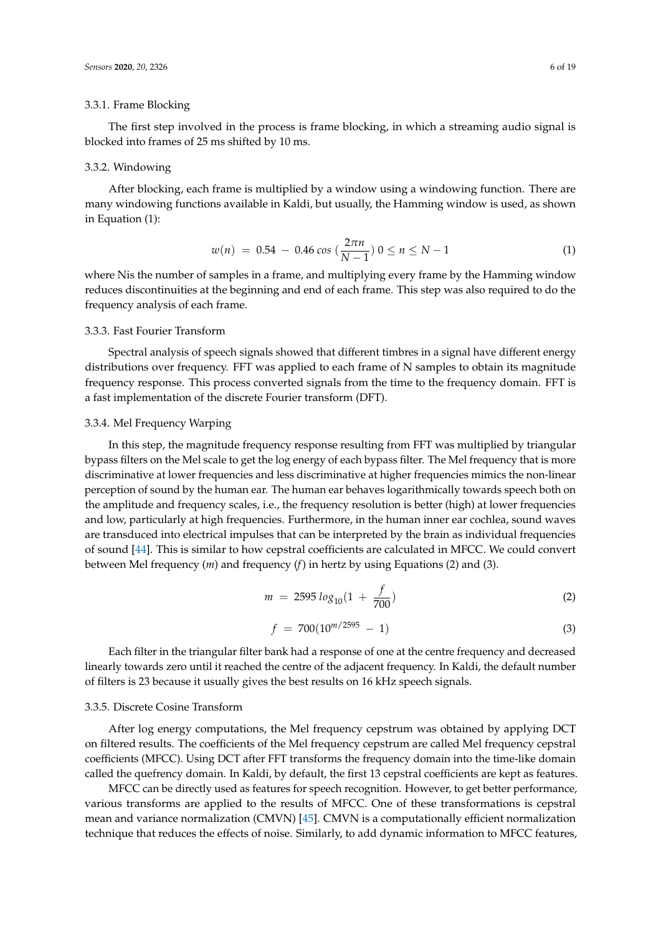# 3.3.1. Frame Blocking

The first step involved in the process is frame blocking, in which a streaming audio signal is blocked into frames of 25 ms shifted by 10 ms.

## 3.3.2. Windowing

After blocking, each frame is multiplied by a window using a windowing function. There are many windowing functions available in Kaldi, but usually, the Hamming window is used, as shown in Equation (1):

$$
w(n) = 0.54 - 0.46 \cos\left(\frac{2\pi n}{N - 1}\right) 0 \le n \le N - 1 \tag{1}
$$

where Nis the number of samples in a frame, and multiplying every frame by the Hamming window reduces discontinuities at the beginning and end of each frame. This step was also required to do the frequency analysis of each frame.

## 3.3.3. Fast Fourier Transform

Spectral analysis of speech signals showed that different timbres in a signal have different energy distributions over frequency. FFT was applied to each frame of N samples to obtain its magnitude frequency response. This process converted signals from the time to the frequency domain. FFT is a fast implementation of the discrete Fourier transform (DFT).

## 3.3.4. Mel Frequency Warping

In this step, the magnitude frequency response resulting from FFT was multiplied by triangular bypass filters on the Mel scale to get the log energy of each bypass filter. The Mel frequency that is more discriminative at lower frequencies and less discriminative at higher frequencies mimics the non-linear perception of sound by the human ear. The human ear behaves logarithmically towards speech both on the amplitude and frequency scales, i.e., the frequency resolution is better (high) at lower frequencies and low, particularly at high frequencies. Furthermore, in the human inner ear cochlea, sound waves are transduced into electrical impulses that can be interpreted by the brain as individual frequencies of sound [\[44\]](#page-18-5). This is similar to how cepstral coefficients are calculated in MFCC. We could convert between Mel frequency (*m*) and frequency (*f*) in hertz by using Equations (2) and (3).

$$
m = 2595 \log_{10}(1 + \frac{f}{700}) \tag{2}
$$

$$
f = 700(10^{m/2595} - 1) \tag{3}
$$

Each filter in the triangular filter bank had a response of one at the centre frequency and decreased linearly towards zero until it reached the centre of the adjacent frequency. In Kaldi, the default number of filters is 23 because it usually gives the best results on 16 kHz speech signals.

## 3.3.5. Discrete Cosine Transform

After log energy computations, the Mel frequency cepstrum was obtained by applying DCT on filtered results. The coefficients of the Mel frequency cepstrum are called Mel frequency cepstral coefficients (MFCC). Using DCT after FFT transforms the frequency domain into the time-like domain called the quefrency domain. In Kaldi, by default, the first 13 cepstral coefficients are kept as features.

MFCC can be directly used as features for speech recognition. However, to get better performance, various transforms are applied to the results of MFCC. One of these transformations is cepstral mean and variance normalization (CMVN) [\[45\]](#page-18-6). CMVN is a computationally efficient normalization technique that reduces the effects of noise. Similarly, to add dynamic information to MFCC features,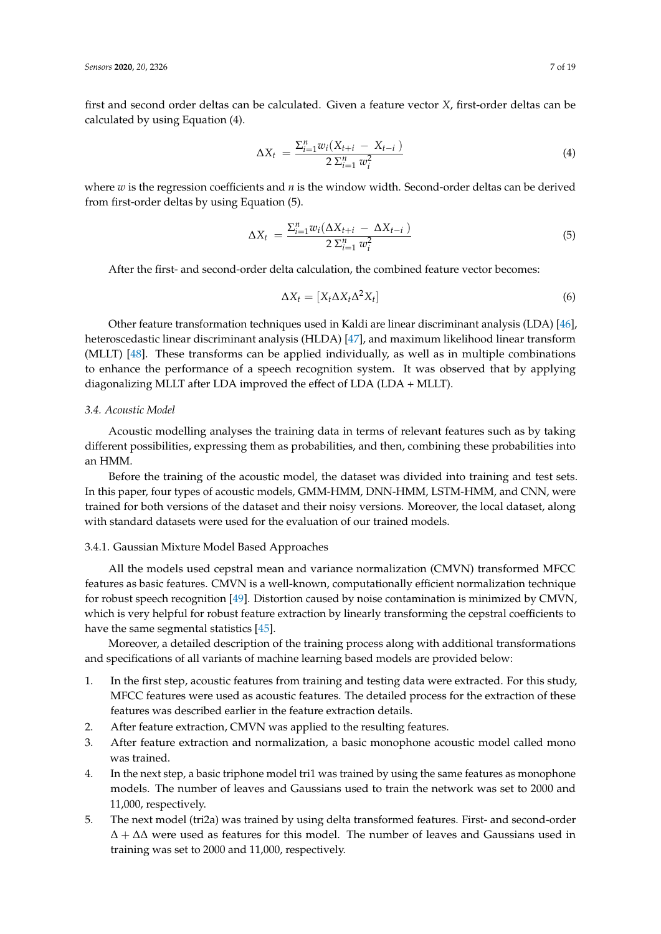first and second order deltas can be calculated. Given a feature vector *X*, first-order deltas can be calculated by using Equation (4).

$$
\Delta X_t = \frac{\sum_{i=1}^n w_i (X_{t+i} - X_{t-i})}{2 \sum_{i=1}^n w_i^2}
$$
\n(4)

where *w* is the regression coefficients and *n* is the window width. Second-order deltas can be derived from first-order deltas by using Equation (5).

$$
\Delta X_t = \frac{\sum_{i=1}^n w_i (\Delta X_{t+i} - \Delta X_{t-i})}{2 \sum_{i=1}^n w_i^2}
$$
\n(5)

After the first- and second-order delta calculation, the combined feature vector becomes:

$$
\Delta X_t = [X_t \Delta X_t \Delta^2 X_t] \tag{6}
$$

Other feature transformation techniques used in Kaldi are linear discriminant analysis (LDA) [\[46\]](#page-18-7), heteroscedastic linear discriminant analysis (HLDA) [\[47\]](#page-18-8), and maximum likelihood linear transform (MLLT) [\[48\]](#page-18-9). These transforms can be applied individually, as well as in multiple combinations to enhance the performance of a speech recognition system. It was observed that by applying diagonalizing MLLT after LDA improved the effect of LDA (LDA + MLLT).

# *3.4. Acoustic Model*

Acoustic modelling analyses the training data in terms of relevant features such as by taking different possibilities, expressing them as probabilities, and then, combining these probabilities into an HMM.

Before the training of the acoustic model, the dataset was divided into training and test sets. In this paper, four types of acoustic models, GMM-HMM, DNN-HMM, LSTM-HMM, and CNN, were trained for both versions of the dataset and their noisy versions. Moreover, the local dataset, along with standard datasets were used for the evaluation of our trained models.

## 3.4.1. Gaussian Mixture Model Based Approaches

All the models used cepstral mean and variance normalization (CMVN) transformed MFCC features as basic features. CMVN is a well-known, computationally efficient normalization technique for robust speech recognition [\[49\]](#page-18-10). Distortion caused by noise contamination is minimized by CMVN, which is very helpful for robust feature extraction by linearly transforming the cepstral coefficients to have the same segmental statistics [\[45\]](#page-18-6).

Moreover, a detailed description of the training process along with additional transformations and specifications of all variants of machine learning based models are provided below:

- 1. In the first step, acoustic features from training and testing data were extracted. For this study, MFCC features were used as acoustic features. The detailed process for the extraction of these features was described earlier in the feature extraction details.
- 2. After feature extraction, CMVN was applied to the resulting features.
- 3. After feature extraction and normalization, a basic monophone acoustic model called mono was trained.
- 4. In the next step, a basic triphone model tri1 was trained by using the same features as monophone models. The number of leaves and Gaussians used to train the network was set to 2000 and 11,000, respectively.
- 5. The next model (tri2a) was trained by using delta transformed features. First- and second-order ∆ + ∆∆ were used as features for this model. The number of leaves and Gaussians used in training was set to 2000 and 11,000, respectively.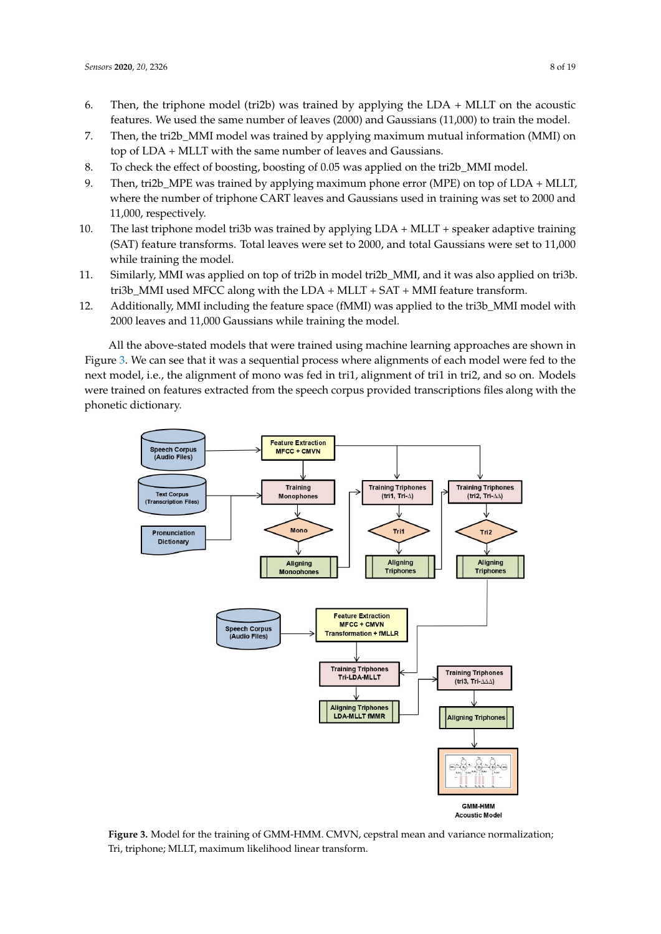- 6. Then, the triphone model (tri2b) was trained by applying the LDA + MLLT on the acoustic features. We used the same number of leaves (2000) and Gaussians (11,000) to train the model.
- 7. Then, the tri2b\_MMI model was trained by applying maximum mutual information (MMI) on top of LDA + MLLT with the same number of leaves and Gaussians.
- 8. To check the effect of boosting, boosting of 0.05 was applied on the tri2b\_MMI model.
- 9. Then, tri2b\_MPE was trained by applying maximum phone error (MPE) on top of LDA + MLLT, where the number of triphone CART leaves and Gaussians used in training was set to 2000 and 11,000, respectively.
- 10. The last triphone model tri3b was trained by applying LDA + MLLT + speaker adaptive training (SAT) feature transforms. Total leaves were set to 2000, and total Gaussians were set to 11,000 while training the model.
- 11. Similarly, MMI was applied on top of tri2b in model tri2b\_MMI, and it was also applied on tri3b. tri3b\_MMI used MFCC along with the LDA + MLLT + SAT + MMI feature transform.
- 12. Additionally, MMI including the feature space (fMMI) was applied to the tri3b\_MMI model with 2000 leaves and 11,000 Gaussians while training the model.

All the above-stated models that were trained using machine learning approaches are shown in Figure [3.](#page-7-0) We can see that it was a sequential process where alignments of each model were fed to the next model, i.e., the alignment of mono was fed in tri1, alignment of tri1 in tri2, and so on. Models were trained on features extracted from the speech corpus provided transcriptions files along with the phonetic dictionary.

<span id="page-7-0"></span>

**Figure 3.** Model for the training of GMM-HMM. CMVN, cepstral mean and variance normalization; Tri, triphone; MLLT, maximum likelihood linear transform.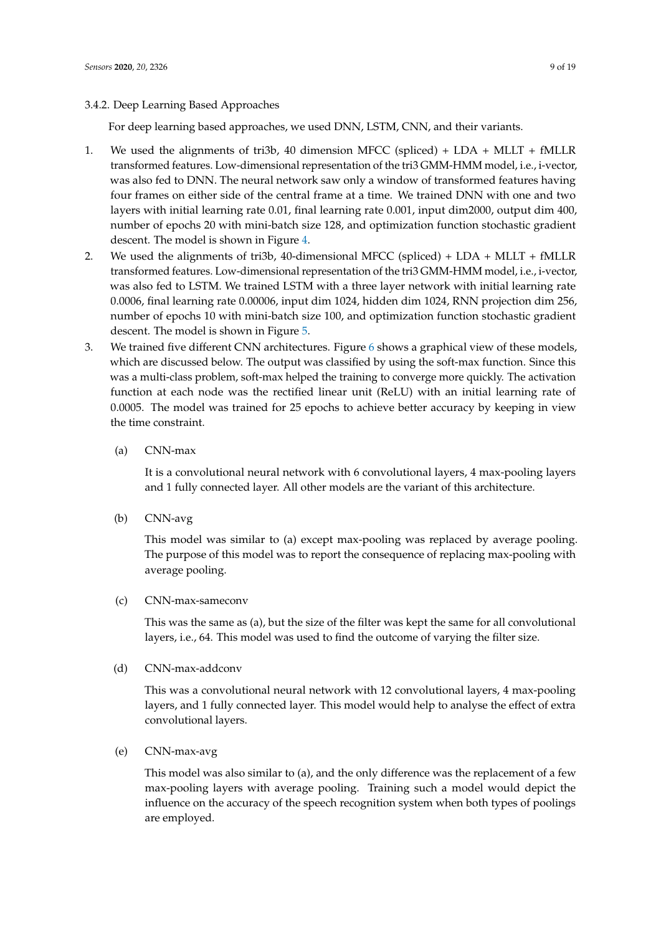# 3.4.2. Deep Learning Based Approaches

For deep learning based approaches, we used DNN, LSTM, CNN, and their variants.

- 1. We used the alignments of tri3b, 40 dimension MFCC (spliced) + LDA + MLLT + fMLLR transformed features. Low-dimensional representation of the tri3 GMM-HMM model, i.e., i-vector, was also fed to DNN. The neural network saw only a window of transformed features having four frames on either side of the central frame at a time. We trained DNN with one and two layers with initial learning rate 0.01, final learning rate 0.001, input dim2000, output dim 400, number of epochs 20 with mini-batch size 128, and optimization function stochastic gradient descent. The model is shown in Figure [4.](#page-9-0)
- 2. We used the alignments of tri3b, 40-dimensional MFCC (spliced) + LDA + MLLT + fMLLR transformed features. Low-dimensional representation of the tri3 GMM-HMM model, i.e., i-vector, was also fed to LSTM. We trained LSTM with a three layer network with initial learning rate 0.0006, final learning rate 0.00006, input dim 1024, hidden dim 1024, RNN projection dim 256, number of epochs 10 with mini-batch size 100, and optimization function stochastic gradient descent. The model is shown in Figure [5.](#page-9-1)
- 3. We trained five different CNN architectures. Figure [6](#page-10-0) shows a graphical view of these models, which are discussed below. The output was classified by using the soft-max function. Since this was a multi-class problem, soft-max helped the training to converge more quickly. The activation function at each node was the rectified linear unit (ReLU) with an initial learning rate of 0.0005. The model was trained for 25 epochs to achieve better accuracy by keeping in view the time constraint.

# (a) CNN-max

It is a convolutional neural network with 6 convolutional layers, 4 max-pooling layers and 1 fully connected layer. All other models are the variant of this architecture.

(b) CNN-avg

This model was similar to (a) except max-pooling was replaced by average pooling. The purpose of this model was to report the consequence of replacing max-pooling with average pooling.

(c) CNN-max-sameconv

This was the same as (a), but the size of the filter was kept the same for all convolutional layers, i.e., 64. This model was used to find the outcome of varying the filter size.

(d) CNN-max-addconv

This was a convolutional neural network with 12 convolutional layers, 4 max-pooling layers, and 1 fully connected layer. This model would help to analyse the effect of extra convolutional layers.

(e) CNN-max-avg

This model was also similar to (a), and the only difference was the replacement of a few max-pooling layers with average pooling. Training such a model would depict the influence on the accuracy of the speech recognition system when both types of poolings are employed.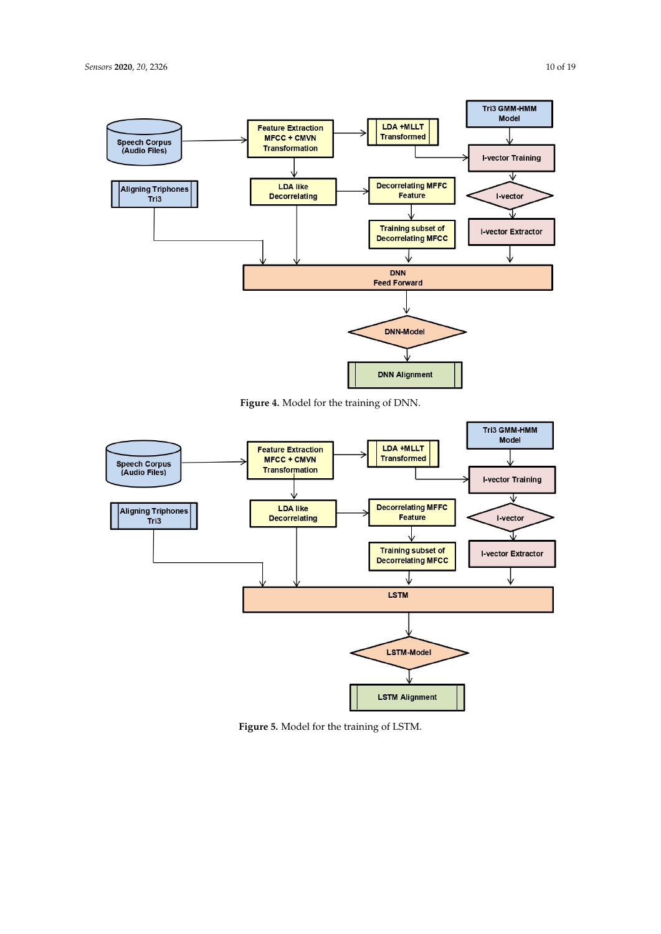<span id="page-9-0"></span>

**Figure 4.** Model for the training of DNN.

<span id="page-9-1"></span>

**Figure 5.** Model for the training of LSTM.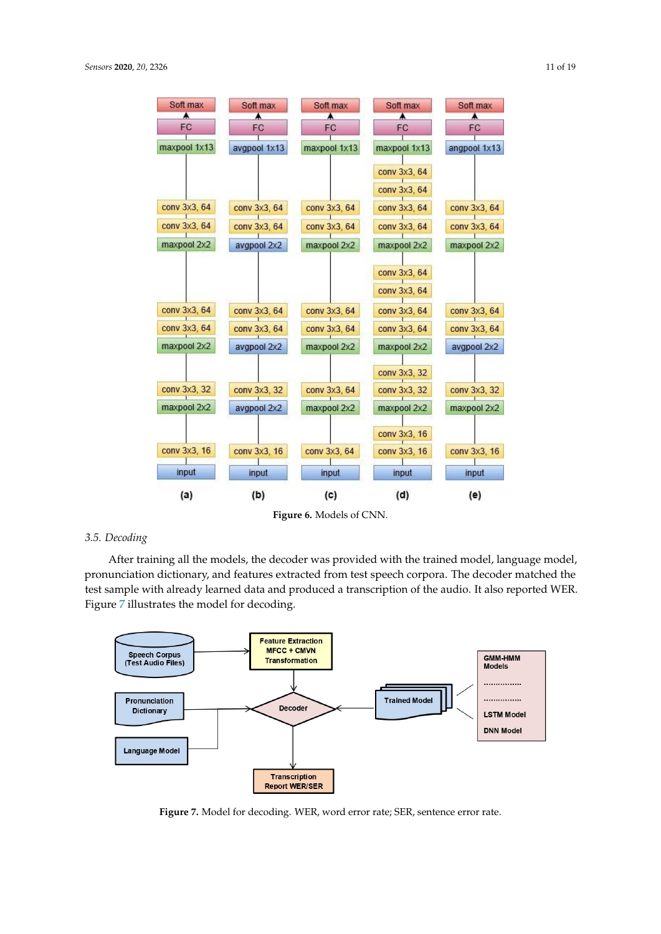<span id="page-10-0"></span>

| Soft max<br>A | Soft max<br>۸ | Soft max<br>Ā | Soft max<br>۸ | Soft max<br>A |
|---------------|---------------|---------------|---------------|---------------|
| FC            | FC            | FC            | <b>FC</b>     | FC            |
| maxpool 1x13  | avgpool 1x13  | maxpool 1x13  | maxpool 1x13  | angpool 1x13  |
|               |               |               | conv 3x3, 64  |               |
|               |               |               | conv 3x3, 64  |               |
| conv 3x3, 64  | conv 3x3, 64  | conv 3x3, 64  | conv 3x3, 64  | conv 3x3, 64  |
| conv 3x3, 64  | conv 3x3, 64  | conv 3x3, 64  | conv 3x3, 64  | conv 3x3, 64  |
| maxpool 2x2   | avgpool 2x2   | maxpool 2x2   | maxpool 2x2   | maxpool 2x2   |
|               |               |               | conv 3x3, 64  |               |
|               |               |               | conv 3x3, 64  |               |
| conv 3x3, 64  | conv 3x3, 64  | conv 3x3, 64  | conv 3x3, 64  | conv 3x3, 64  |
| conv 3x3, 64  | conv 3x3, 64  | conv 3x3, 64  | conv 3x3, 64  | conv 3x3, 64  |
| maxpool 2x2   | avgpool 2x2   | maxpool 2x2   | maxpool 2x2   | avgpool 2x2   |
|               |               |               | conv 3x3, 32  |               |
| conv 3x3, 32  | conv 3x3, 32  | conv 3x3, 64  | conv 3x3, 32  | conv 3x3, 32  |
| maxpool 2x2   | avgpool 2x2   | maxpool 2x2   | maxpool 2x2   | maxpool 2x2   |
|               |               |               | conv 3x3, 16  |               |
| conv 3x3, 16  | conv 3x3, 16  | conv 3x3, 64  | conv 3x3, 16  | conv 3x3, 16  |
| input         | input         | input         | input         | input         |
| (a)           | (b)           | (c)           | (d)           | (e)           |

**Figure 6.** Models of CNN.

# *3.5. Decoding*

After training all the models, the decoder was provided with the trained model, language model, pronunciation dictionary, and features extracted from test speech corpora. The decoder matched the test sample with already learned data and produced a transcription of the audio. It also reported WER. Figure [7](#page-10-1) illustrates the model for decoding.

<span id="page-10-1"></span>

**Figure 7.** Model for decoding. WER, word error rate; SER, sentence error rate.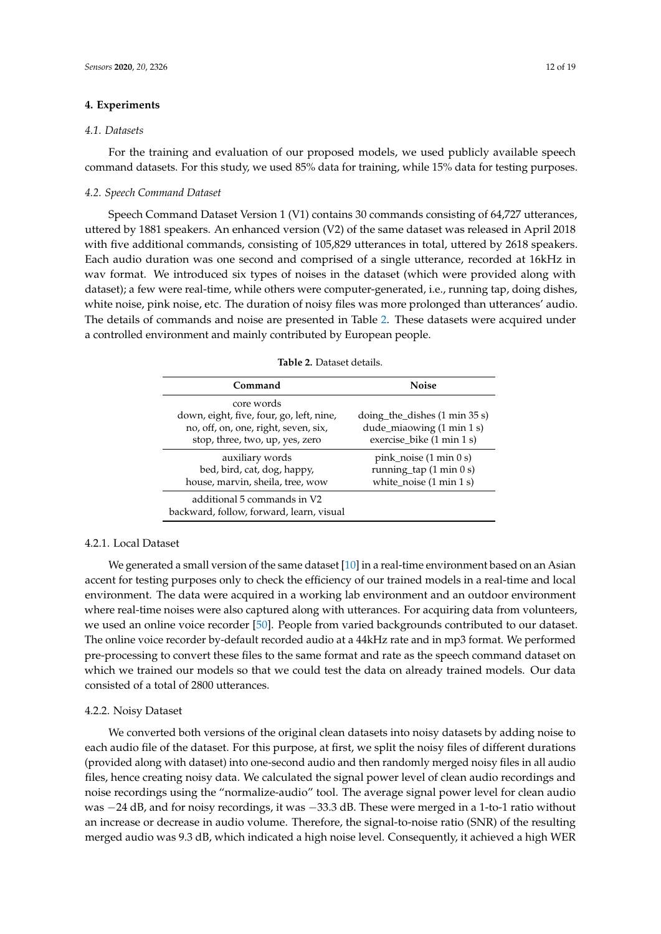# <span id="page-11-0"></span>**4. Experiments**

## *4.1. Datasets*

For the training and evaluation of our proposed models, we used publicly available speech command datasets. For this study, we used 85% data for training, while 15% data for testing purposes.

## *4.2. Speech Command Dataset*

Speech Command Dataset Version 1 (V1) contains 30 commands consisting of 64,727 utterances, uttered by 1881 speakers. An enhanced version (V2) of the same dataset was released in April 2018 with five additional commands, consisting of 105,829 utterances in total, uttered by 2618 speakers. Each audio duration was one second and comprised of a single utterance, recorded at 16kHz in wav format. We introduced six types of noises in the dataset (which were provided along with dataset); a few were real-time, while others were computer-generated, i.e., running tap, doing dishes, white noise, pink noise, etc. The duration of noisy files was more prolonged than utterances' audio. The details of commands and noise are presented in Table [2.](#page-11-1) These datasets were acquired under a controlled environment and mainly contributed by European people.

<span id="page-11-1"></span>

| Command                                                                                                                           | <b>Noise</b>                                                                                                       |
|-----------------------------------------------------------------------------------------------------------------------------------|--------------------------------------------------------------------------------------------------------------------|
| core words<br>down, eight, five, four, go, left, nine,<br>no, off, on, one, right, seven, six,<br>stop, three, two, up, yes, zero | $\frac{1}{2}$ doing the dishes (1 min 35 s)<br>dude_miaowing (1 min 1 s)<br>exercise_bike (1 min 1 s)              |
| auxiliary words<br>bed, bird, cat, dog, happy,<br>house, marvin, sheila, tree, wow                                                | pink_noise $(1 \text{ min } 0 \text{ s})$<br>running_tap $(1 \text{ min } 0 \text{ s})$<br>white_noise (1 min 1 s) |
| additional 5 commands in V2<br>backward, follow, forward, learn, visual                                                           |                                                                                                                    |

**Table 2.** Dataset details.

# 4.2.1. Local Dataset

We generated a small version of the same dataset  $[10]$  in a real-time environment based on an Asian accent for testing purposes only to check the efficiency of our trained models in a real-time and local environment. The data were acquired in a working lab environment and an outdoor environment where real-time noises were also captured along with utterances. For acquiring data from volunteers, we used an online voice recorder [\[50\]](#page-18-11). People from varied backgrounds contributed to our dataset. The online voice recorder by-default recorded audio at a 44kHz rate and in mp3 format. We performed pre-processing to convert these files to the same format and rate as the speech command dataset on which we trained our models so that we could test the data on already trained models. Our data consisted of a total of 2800 utterances.

## 4.2.2. Noisy Dataset

We converted both versions of the original clean datasets into noisy datasets by adding noise to each audio file of the dataset. For this purpose, at first, we split the noisy files of different durations (provided along with dataset) into one-second audio and then randomly merged noisy files in all audio files, hence creating noisy data. We calculated the signal power level of clean audio recordings and noise recordings using the "normalize-audio" tool. The average signal power level for clean audio was −24 dB, and for noisy recordings, it was −33.3 dB. These were merged in a 1-to-1 ratio without an increase or decrease in audio volume. Therefore, the signal-to-noise ratio (SNR) of the resulting merged audio was 9.3 dB, which indicated a high noise level. Consequently, it achieved a high WER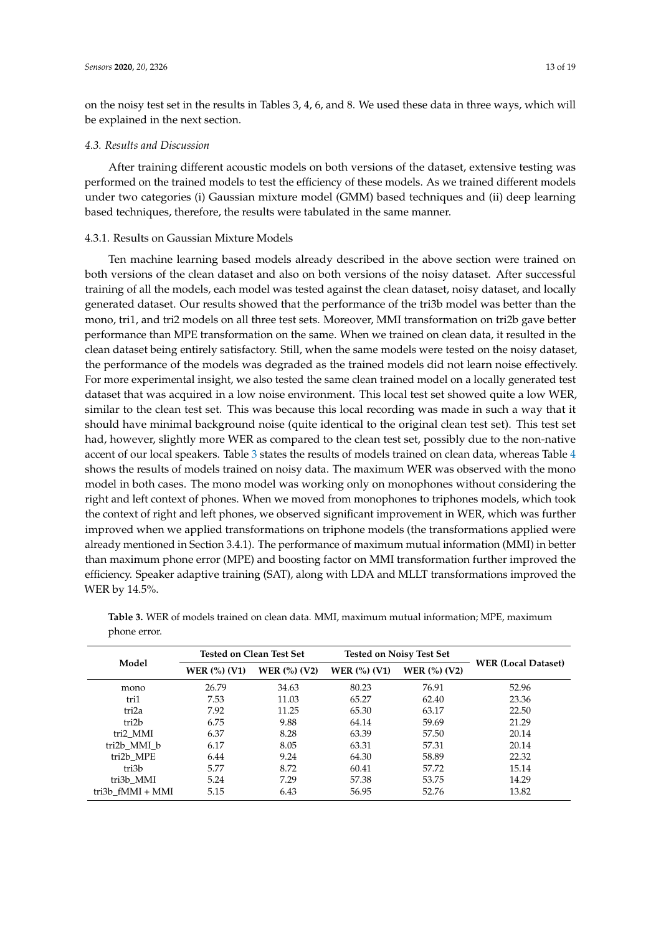on the noisy test set in the results in Tables 3, 4, 6, and 8. We used these data in three ways, which will be explained in the next section.

## *4.3. Results and Discussion*

After training different acoustic models on both versions of the dataset, extensive testing was performed on the trained models to test the efficiency of these models. As we trained different models under two categories (i) Gaussian mixture model (GMM) based techniques and (ii) deep learning based techniques, therefore, the results were tabulated in the same manner.

## 4.3.1. Results on Gaussian Mixture Models

Ten machine learning based models already described in the above section were trained on both versions of the clean dataset and also on both versions of the noisy dataset. After successful training of all the models, each model was tested against the clean dataset, noisy dataset, and locally generated dataset. Our results showed that the performance of the tri3b model was better than the mono, tri1, and tri2 models on all three test sets. Moreover, MMI transformation on tri2b gave better performance than MPE transformation on the same. When we trained on clean data, it resulted in the clean dataset being entirely satisfactory. Still, when the same models were tested on the noisy dataset, the performance of the models was degraded as the trained models did not learn noise effectively. For more experimental insight, we also tested the same clean trained model on a locally generated test dataset that was acquired in a low noise environment. This local test set showed quite a low WER, similar to the clean test set. This was because this local recording was made in such a way that it should have minimal background noise (quite identical to the original clean test set). This test set had, however, slightly more WER as compared to the clean test set, possibly due to the non-native accent of our local speakers. Table [3](#page-12-0) states the results of models trained on clean data, whereas Table [4](#page-13-0) shows the results of models trained on noisy data. The maximum WER was observed with the mono model in both cases. The mono model was working only on monophones without considering the right and left context of phones. When we moved from monophones to triphones models, which took the context of right and left phones, we observed significant improvement in WER, which was further improved when we applied transformations on triphone models (the transformations applied were already mentioned in Section 3.4.1). The performance of maximum mutual information (MMI) in better than maximum phone error (MPE) and boosting factor on MMI transformation further improved the efficiency. Speaker adaptive training (SAT), along with LDA and MLLT transformations improved the WER by 14.5%.

| Model               | <b>Tested on Clean Test Set</b> |                                            | <b>Tested on Noisy Test Set</b>    |                     |                            |
|---------------------|---------------------------------|--------------------------------------------|------------------------------------|---------------------|----------------------------|
|                     | <b>WER</b> $(\%)$ (V1)          | <b>WER</b> $\left(\frac{9}{6}\right)$ (V2) | <b>WER</b> $\left(\% \right)$ (V1) | <b>WER</b> (%) (V2) | <b>WER (Local Dataset)</b> |
| mono                | 26.79                           | 34.63                                      | 80.23                              | 76.91               | 52.96                      |
| tri1                | 7.53                            | 11.03                                      | 65.27                              | 62.40               | 23.36                      |
| tri <sub>2a</sub>   | 7.92                            | 11.25                                      | 65.30                              | 63.17               | 22.50                      |
| tri2b               | 6.75                            | 9.88                                       | 64.14                              | 59.69               | 21.29                      |
| tri2 MMI            | 6.37                            | 8.28                                       | 63.39                              | 57.50               | 20.14                      |
| tri2b MMI b         | 6.17                            | 8.05                                       | 63.31                              | 57.31               | 20.14                      |
| tri2b MPE           | 6.44                            | 9.24                                       | 64.30                              | 58.89               | 22.32                      |
| tri3b               | 5.77                            | 8.72                                       | 60.41                              | 57.72               | 15.14                      |
| tri3b MMI           | 5.24                            | 7.29                                       | 57.38                              | 53.75               | 14.29                      |
| tri $3b$ fMMI + MMI | 5.15                            | 6.43                                       | 56.95                              | 52.76               | 13.82                      |

<span id="page-12-0"></span>**Table 3.** WER of models trained on clean data. MMI, maximum mutual information; MPE, maximum phone error.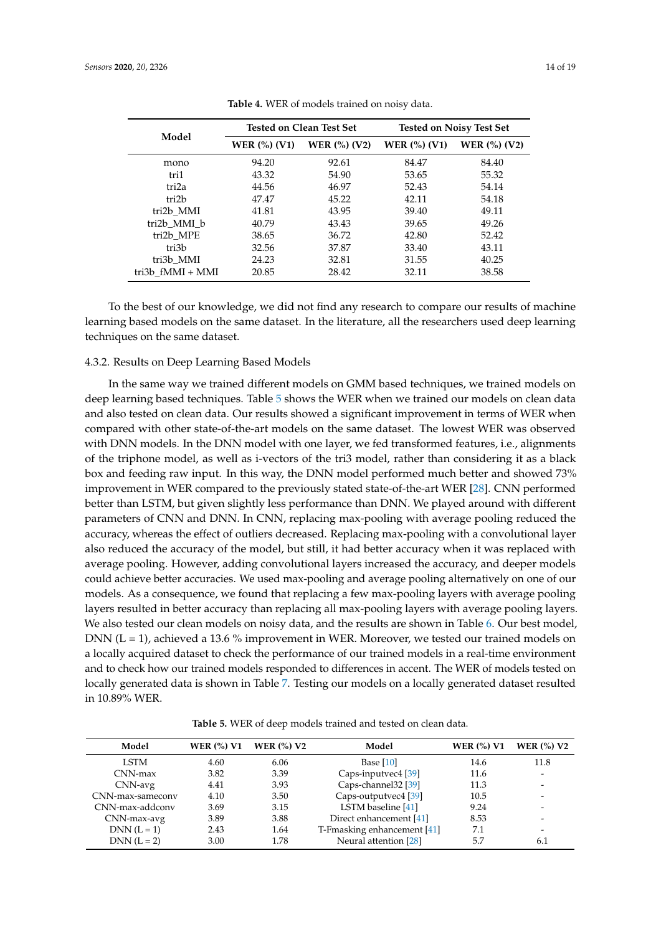<span id="page-13-0"></span>

|                  |                                            | <b>Tested on Clean Test Set</b>  | <b>Tested on Noisy Test Set</b> |                                |
|------------------|--------------------------------------------|----------------------------------|---------------------------------|--------------------------------|
| Model            | <b>WER</b> $\left(\frac{9}{6}\right)$ (V1) | <b>WER</b> $\binom{0}{0}$ $(V2)$ | <b>WER</b> $\binom{0}{0}$ (V1)  | <b>WER</b> $\binom{0}{0}$ (V2) |
| mono             | 94.20                                      | 92.61                            | 84.47                           | 84.40                          |
| tri1             | 43.32                                      | 54.90                            | 53.65                           | 55.32                          |
| tri2a            | 44.56                                      | 46.97                            | 52.43                           | 54.14                          |
| tri2b            | 47.47                                      | 45.22                            | 42.11                           | 54.18                          |
| tri2b MMI        | 41.81                                      | 43.95                            | 39.40                           | 49.11                          |
| tri2b MMI b      | 40.79                                      | 43.43                            | 39.65                           | 49.26                          |
| tri2b MPE        | 38.65                                      | 36.72                            | 42.80                           | 52.42                          |
| tri3b            | 32.56                                      | 37.87                            | 33.40                           | 43.11                          |
| tri3b MMI        | 24.23                                      | 32.81                            | 31.55                           | 40.25                          |
| tri3b fMMI + MMI | 20.85                                      | 28.42                            | 32.11                           | 38.58                          |

**Table 4.** WER of models trained on noisy data.

To the best of our knowledge, we did not find any research to compare our results of machine learning based models on the same dataset. In the literature, all the researchers used deep learning techniques on the same dataset.

## 4.3.2. Results on Deep Learning Based Models

In the same way we trained different models on GMM based techniques, we trained models on deep learning based techniques. Table [5](#page-13-1) shows the WER when we trained our models on clean data and also tested on clean data. Our results showed a significant improvement in terms of WER when compared with other state-of-the-art models on the same dataset. The lowest WER was observed with DNN models. In the DNN model with one layer, we fed transformed features, i.e., alignments of the triphone model, as well as i-vectors of the tri3 model, rather than considering it as a black box and feeding raw input. In this way, the DNN model performed much better and showed 73% improvement in WER compared to the previously stated state-of-the-art WER [\[28\]](#page-17-9). CNN performed better than LSTM, but given slightly less performance than DNN. We played around with different parameters of CNN and DNN. In CNN, replacing max-pooling with average pooling reduced the accuracy, whereas the effect of outliers decreased. Replacing max-pooling with a convolutional layer also reduced the accuracy of the model, but still, it had better accuracy when it was replaced with average pooling. However, adding convolutional layers increased the accuracy, and deeper models could achieve better accuracies. We used max-pooling and average pooling alternatively on one of our models. As a consequence, we found that replacing a few max-pooling layers with average pooling layers resulted in better accuracy than replacing all max-pooling layers with average pooling layers. We also tested our clean models on noisy data, and the results are shown in Table [6.](#page-14-0) Our best model, DNN ( $L = 1$ ), achieved a 13.6 % improvement in WER. Moreover, we tested our trained models on a locally acquired dataset to check the performance of our trained models in a real-time environment and to check how our trained models responded to differences in accent. The WER of models tested on locally generated data is shown in Table [7.](#page-14-1) Testing our models on a locally generated dataset resulted in 10.89% WER.

<span id="page-13-1"></span>**Model WER (%) V1 WER (%) V2 Model WER (%) V1 WER (%) V2** LSTM 4.60 6.06 Base [\[10\]](#page-16-9) 14.6 11.8 CNN-max 3.82 3.39 Caps-inputvec4 [\[39\]](#page-18-0) 11.6<br>CNN-avg 4.41 3.93 Caps-channel32 [39] 11.3 Caps-channel32 [\[39\]](#page-18-0) CNN-max-sameconv 4.10 3.50 Caps-outputvec4 [\[39\]](#page-18-0) 10.5 -<br>
CNN-max-addconv 3.69 3.15 LSTM baseline [41] 9.24 -LSTM baseline [\[41\]](#page-18-2) 9.24<br>irect enhancement [41] 8.53 CNN-max-avg 3.89 3.88 Direct enhancement [\[41\]](#page-18-2)  $DNN (L = 1)$  2.43 1.64 T-Fmasking enhancement [\[41\]](#page-18-2) 7.1

DNN (L = 2) 3.00 1.78 Neural attention [\[28\]](#page-17-9) 5.7 6.1

**Table 5.** WER of deep models trained and tested on clean data.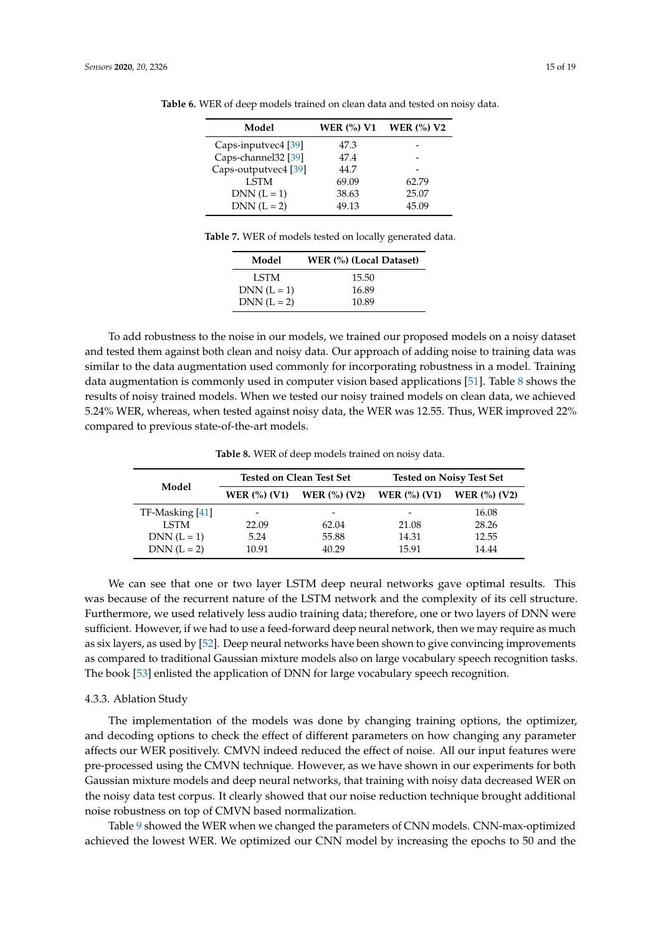| Model                          | <b>WER (%) V1</b> | WER $(\%)$ V2 |
|--------------------------------|-------------------|---------------|
| Caps-inputvec4 [39]            | 47.3              |               |
| Caps-channel32 <sup>[39]</sup> | 47.4              |               |
| Caps-outputvec4 [39]           | 44.7              |               |
| <b>LSTM</b>                    | 69.09             | 62.79         |
| $DNN (L = 1)$                  | 38.63             | 25.07         |
| $DNN (L = 2)$                  | 49.13             | 45.09         |

<span id="page-14-0"></span>**Table 6.** WER of deep models trained on clean data and tested on noisy data.

**Table 7.** WER of models tested on locally generated data.

| Model         | WER (%) (Local Dataset) |
|---------------|-------------------------|
| LSTM          | 15.50                   |
| $DNN (L = 1)$ | 16.89                   |
| $DNN (L = 2)$ | 10.89                   |

<span id="page-14-1"></span>To add robustness to the noise in our models, we trained our proposed models on a noisy dataset and tested them against both clean and noisy data. Our approach of adding noise to training data was similar to the data augmentation used commonly for incorporating robustness in a model. Training data augmentation is commonly used in computer vision based applications [\[51\]](#page-18-12). Table [8](#page-14-2) shows the results of noisy trained models. When we tested our noisy trained models on clean data, we achieved 5.24% WER, whereas, when tested against noisy data, the WER was 12.55. Thus, WER improved 22% compared to previous state-of-the-art models.

**Table 8.** WER of deep models trained on noisy data.

<span id="page-14-2"></span>

|                 | <b>Tested on Clean Test Set</b>            |                          | <b>Tested on Noisy Test Set</b> |                 |
|-----------------|--------------------------------------------|--------------------------|---------------------------------|-----------------|
| Model           | <b>WER</b> $\left(\frac{9}{6}\right)$ (V1) | WER $(\%)(V_2)$          | <b>WER</b> $\binom{0}{0}$ (V1)  | WER $(\%)$ (V2) |
| TF-Masking [41] |                                            | $\overline{\phantom{a}}$ |                                 | 16.08           |
| <b>LSTM</b>     | 22.09                                      | 62.04                    | 21.08                           | 28.26           |
| $DNN (L = 1)$   | 5.24                                       | 55.88                    | 14.31                           | 12.55           |
| $DNN (L = 2)$   | 10.91                                      | 40.29                    | 15.91                           | 14.44           |

We can see that one or two layer LSTM deep neural networks gave optimal results. This was because of the recurrent nature of the LSTM network and the complexity of its cell structure. Furthermore, we used relatively less audio training data; therefore, one or two layers of DNN were sufficient. However, if we had to use a feed-forward deep neural network, then we may require as much as six layers, as used by [\[52\]](#page-18-13). Deep neural networks have been shown to give convincing improvements as compared to traditional Gaussian mixture models also on large vocabulary speech recognition tasks. The book [\[53\]](#page-18-14) enlisted the application of DNN for large vocabulary speech recognition.

#### 4.3.3. Ablation Study

The implementation of the models was done by changing training options, the optimizer, and decoding options to check the effect of different parameters on how changing any parameter affects our WER positively. CMVN indeed reduced the effect of noise. All our input features were pre-processed using the CMVN technique. However, as we have shown in our experiments for both Gaussian mixture models and deep neural networks, that training with noisy data decreased WER on the noisy data test corpus. It clearly showed that our noise reduction technique brought additional noise robustness on top of CMVN based normalization.

Table [9](#page-15-1) showed the WER when we changed the parameters of CNN models. CNN-max-optimized achieved the lowest WER. We optimized our CNN model by increasing the epochs to 50 and the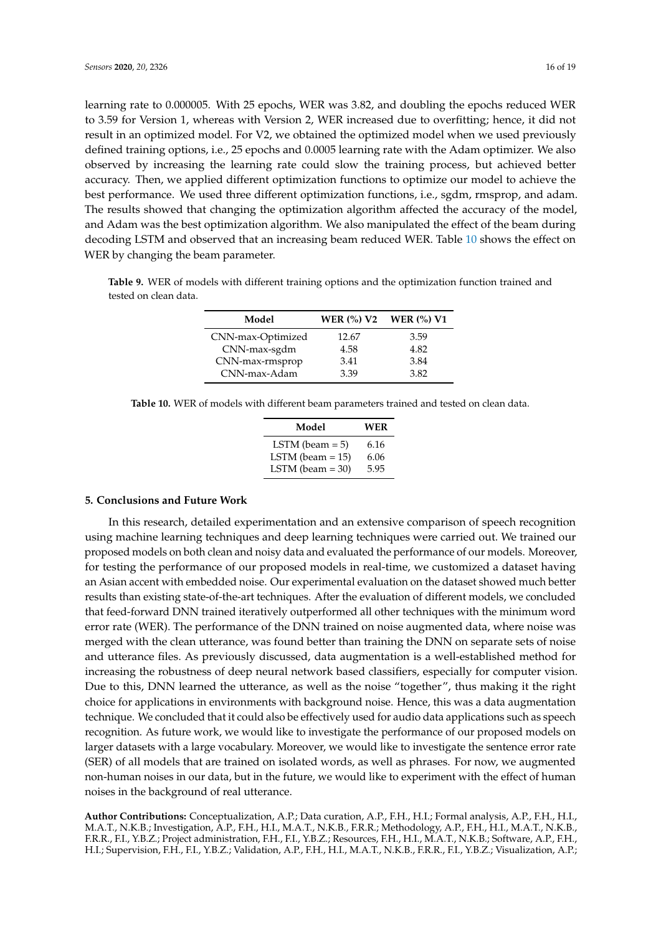learning rate to 0.000005. With 25 epochs, WER was 3.82, and doubling the epochs reduced WER to 3.59 for Version 1, whereas with Version 2, WER increased due to overfitting; hence, it did not result in an optimized model. For V2, we obtained the optimized model when we used previously defined training options, i.e., 25 epochs and 0.0005 learning rate with the Adam optimizer. We also observed by increasing the learning rate could slow the training process, but achieved better accuracy. Then, we applied different optimization functions to optimize our model to achieve the best performance. We used three different optimization functions, i.e., sgdm, rmsprop, and adam. The results showed that changing the optimization algorithm affected the accuracy of the model, and Adam was the best optimization algorithm. We also manipulated the effect of the beam during decoding LSTM and observed that an increasing beam reduced WER. Table [10](#page-15-2) shows the effect on WER by changing the beam parameter.

<span id="page-15-1"></span>**Table 9.** WER of models with different training options and the optimization function trained and tested on clean data.

| Model             | WER $(%)$ V <sub>2</sub> | WER $(%)$ V1 |
|-------------------|--------------------------|--------------|
| CNN-max-Optimized | 12.67                    | 3.59         |
| CNN-max-sgdm      | 4.58                     | 4.82         |
| CNN-max-rmsprop   | 3.41                     | 3.84         |
| CNN-max-Adam      | 3.39                     | 3.82         |

<span id="page-15-2"></span>**Table 10.** WER of models with different beam parameters trained and tested on clean data.

| Model               | WER  |
|---------------------|------|
| LSTM (beam $= 5$ )  | 6.16 |
| LSTM (beam $= 15$ ) | 6.06 |
| LSTM (beam $=$ 30)  | 5.95 |

## <span id="page-15-0"></span>**5. Conclusions and Future Work**

In this research, detailed experimentation and an extensive comparison of speech recognition using machine learning techniques and deep learning techniques were carried out. We trained our proposed models on both clean and noisy data and evaluated the performance of our models. Moreover, for testing the performance of our proposed models in real-time, we customized a dataset having an Asian accent with embedded noise. Our experimental evaluation on the dataset showed much better results than existing state-of-the-art techniques. After the evaluation of different models, we concluded that feed-forward DNN trained iteratively outperformed all other techniques with the minimum word error rate (WER). The performance of the DNN trained on noise augmented data, where noise was merged with the clean utterance, was found better than training the DNN on separate sets of noise and utterance files. As previously discussed, data augmentation is a well-established method for increasing the robustness of deep neural network based classifiers, especially for computer vision. Due to this, DNN learned the utterance, as well as the noise "together", thus making it the right choice for applications in environments with background noise. Hence, this was a data augmentation technique. We concluded that it could also be effectively used for audio data applications such as speech recognition. As future work, we would like to investigate the performance of our proposed models on larger datasets with a large vocabulary. Moreover, we would like to investigate the sentence error rate (SER) of all models that are trained on isolated words, as well as phrases. For now, we augmented non-human noises in our data, but in the future, we would like to experiment with the effect of human noises in the background of real utterance.

**Author Contributions:** Conceptualization, A.P.; Data curation, A.P., F.H., H.I.; Formal analysis, A.P., F.H., H.I., M.A.T., N.K.B.; Investigation, A.P., F.H., H.I., M.A.T., N.K.B., F.R.R.; Methodology, A.P., F.H., H.I., M.A.T., N.K.B., F.R.R., F.I., Y.B.Z.; Project administration, F.H., F.I., Y.B.Z.; Resources, F.H., H.I., M.A.T., N.K.B.; Software, A.P., F.H., H.I.; Supervision, F.H., F.I., Y.B.Z.; Validation, A.P., F.H., H.I., M.A.T., N.K.B., F.R.R., F.I., Y.B.Z.; Visualization, A.P.;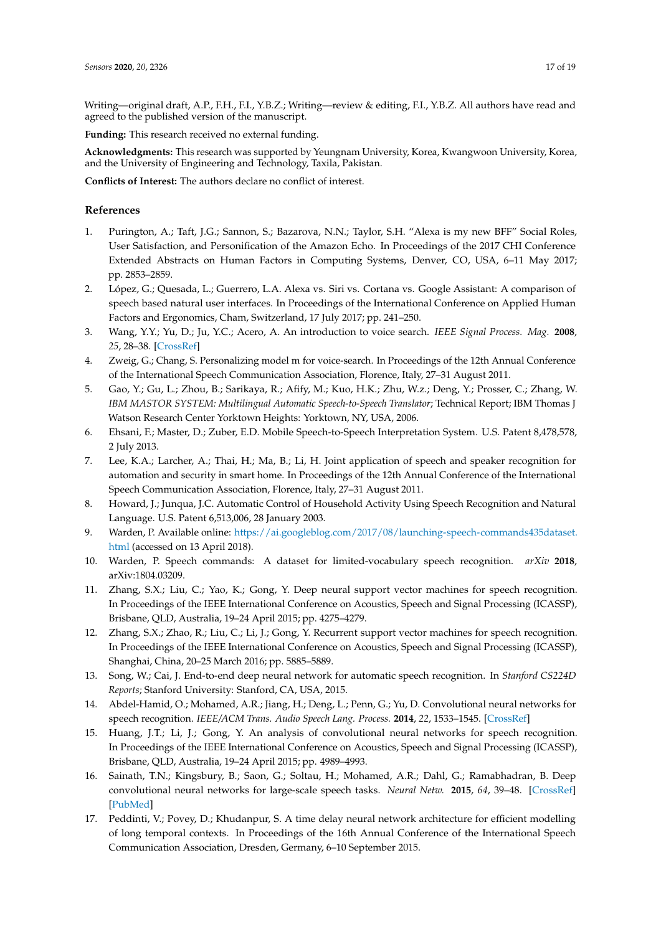Writing—original draft, A.P., F.H., F.I., Y.B.Z.; Writing—review & editing, F.I., Y.B.Z. All authors have read and agreed to the published version of the manuscript.

**Funding:** This research received no external funding.

**Acknowledgments:** This research was supported by Yeungnam University, Korea, Kwangwoon University, Korea, and the University of Engineering and Technology, Taxila, Pakistan.

**Conflicts of Interest:** The authors declare no conflict of interest.

# **References**

- <span id="page-16-0"></span>1. Purington, A.; Taft, J.G.; Sannon, S.; Bazarova, N.N.; Taylor, S.H. "Alexa is my new BFF" Social Roles, User Satisfaction, and Personification of the Amazon Echo. In Proceedings of the 2017 CHI Conference Extended Abstracts on Human Factors in Computing Systems, Denver, CO, USA, 6–11 May 2017; pp. 2853–2859.
- <span id="page-16-1"></span>2. López, G.; Quesada, L.; Guerrero, L.A. Alexa vs. Siri vs. Cortana vs. Google Assistant: A comparison of speech based natural user interfaces. In Proceedings of the International Conference on Applied Human Factors and Ergonomics, Cham, Switzerland, 17 July 2017; pp. 241–250.
- <span id="page-16-2"></span>3. Wang, Y.Y.; Yu, D.; Ju, Y.C.; Acero, A. An introduction to voice search. *IEEE Signal Process. Mag.* **2008**, *25*, 28–38. [\[CrossRef\]](http://dx.doi.org/10.1109/MSP.2008.918411)
- <span id="page-16-3"></span>4. Zweig, G.; Chang, S. Personalizing model m for voice-search. In Proceedings of the 12th Annual Conference of the International Speech Communication Association, Florence, Italy, 27–31 August 2011.
- <span id="page-16-4"></span>5. Gao, Y.; Gu, L.; Zhou, B.; Sarikaya, R.; Afify, M.; Kuo, H.K.; Zhu, W.z.; Deng, Y.; Prosser, C.; Zhang, W. *IBM MASTOR SYSTEM: Multilingual Automatic Speech-to-Speech Translator*; Technical Report; IBM Thomas J Watson Research Center Yorktown Heights: Yorktown, NY, USA, 2006.
- <span id="page-16-5"></span>6. Ehsani, F.; Master, D.; Zuber, E.D. Mobile Speech-to-Speech Interpretation System. U.S. Patent 8,478,578, 2 July 2013.
- <span id="page-16-6"></span>7. Lee, K.A.; Larcher, A.; Thai, H.; Ma, B.; Li, H. Joint application of speech and speaker recognition for automation and security in smart home. In Proceedings of the 12th Annual Conference of the International Speech Communication Association, Florence, Italy, 27–31 August 2011.
- <span id="page-16-7"></span>8. Howard, J.; Junqua, J.C. Automatic Control of Household Activity Using Speech Recognition and Natural Language. U.S. Patent 6,513,006, 28 January 2003.
- <span id="page-16-8"></span>9. Warden, P. Available online: [https://ai.googleblog.com/2017/08/launching-speech-commands435dataset.](https://ai.googleblog.com/2017/08/launching-speech-commands435dataset.html) [html](https://ai.googleblog.com/2017/08/launching-speech-commands435dataset.html) (accessed on 13 April 2018).
- <span id="page-16-9"></span>10. Warden, P. Speech commands: A dataset for limited-vocabulary speech recognition. *arXiv* **2018**, arXiv:1804.03209.
- <span id="page-16-10"></span>11. Zhang, S.X.; Liu, C.; Yao, K.; Gong, Y. Deep neural support vector machines for speech recognition. In Proceedings of the IEEE International Conference on Acoustics, Speech and Signal Processing (ICASSP), Brisbane, QLD, Australia, 19–24 April 2015; pp. 4275–4279.
- 12. Zhang, S.X.; Zhao, R.; Liu, C.; Li, J.; Gong, Y. Recurrent support vector machines for speech recognition. In Proceedings of the IEEE International Conference on Acoustics, Speech and Signal Processing (ICASSP), Shanghai, China, 20–25 March 2016; pp. 5885–5889.
- 13. Song, W.; Cai, J. End-to-end deep neural network for automatic speech recognition. In *Stanford CS224D Reports*; Stanford University: Stanford, CA, USA, 2015.
- 14. Abdel-Hamid, O.; Mohamed, A.R.; Jiang, H.; Deng, L.; Penn, G.; Yu, D. Convolutional neural networks for speech recognition. *IEEE/ACM Trans. Audio Speech Lang. Process.* **2014**, *22*, 1533–1545. [\[CrossRef\]](http://dx.doi.org/10.1109/TASLP.2014.2339736)
- <span id="page-16-11"></span>15. Huang, J.T.; Li, J.; Gong, Y. An analysis of convolutional neural networks for speech recognition. In Proceedings of the IEEE International Conference on Acoustics, Speech and Signal Processing (ICASSP), Brisbane, QLD, Australia, 19–24 April 2015; pp. 4989–4993.
- <span id="page-16-12"></span>16. Sainath, T.N.; Kingsbury, B.; Saon, G.; Soltau, H.; Mohamed, A.R.; Dahl, G.; Ramabhadran, B. Deep convolutional neural networks for large-scale speech tasks. *Neural Netw.* **2015**, *64*, 39–48. [\[CrossRef\]](http://dx.doi.org/10.1016/j.neunet.2014.08.005) [\[PubMed\]](http://www.ncbi.nlm.nih.gov/pubmed/25439765)
- 17. Peddinti, V.; Povey, D.; Khudanpur, S. A time delay neural network architecture for efficient modelling of long temporal contexts. In Proceedings of the 16th Annual Conference of the International Speech Communication Association, Dresden, Germany, 6–10 September 2015.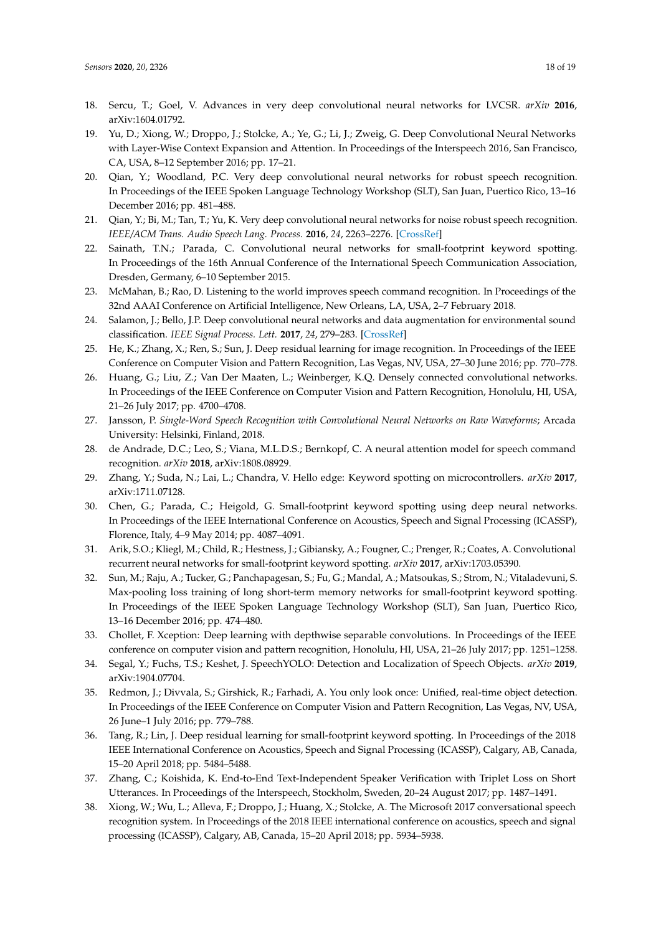- 18. Sercu, T.; Goel, V. Advances in very deep convolutional neural networks for LVCSR. *arXiv* **2016**, arXiv:1604.01792.
- <span id="page-17-0"></span>19. Yu, D.; Xiong, W.; Droppo, J.; Stolcke, A.; Ye, G.; Li, J.; Zweig, G. Deep Convolutional Neural Networks with Layer-Wise Context Expansion and Attention. In Proceedings of the Interspeech 2016, San Francisco, CA, USA, 8–12 September 2016; pp. 17–21.
- <span id="page-17-1"></span>20. Qian, Y.; Woodland, P.C. Very deep convolutional neural networks for robust speech recognition. In Proceedings of the IEEE Spoken Language Technology Workshop (SLT), San Juan, Puertico Rico, 13–16 December 2016; pp. 481–488.
- <span id="page-17-2"></span>21. Qian, Y.; Bi, M.; Tan, T.; Yu, K. Very deep convolutional neural networks for noise robust speech recognition. *IEEE/ACM Trans. Audio Speech Lang. Process.* **2016**, *24*, 2263–2276. [\[CrossRef\]](http://dx.doi.org/10.1109/TASLP.2016.2602884)
- <span id="page-17-3"></span>22. Sainath, T.N.; Parada, C. Convolutional neural networks for small-footprint keyword spotting. In Proceedings of the 16th Annual Conference of the International Speech Communication Association, Dresden, Germany, 6–10 September 2015.
- <span id="page-17-4"></span>23. McMahan, B.; Rao, D. Listening to the world improves speech command recognition. In Proceedings of the 32nd AAAI Conference on Artificial Intelligence, New Orleans, LA, USA, 2–7 February 2018.
- <span id="page-17-5"></span>24. Salamon, J.; Bello, J.P. Deep convolutional neural networks and data augmentation for environmental sound classification. *IEEE Signal Process. Lett.* **2017**, *24*, 279–283. [\[CrossRef\]](http://dx.doi.org/10.1109/LSP.2017.2657381)
- <span id="page-17-6"></span>25. He, K.; Zhang, X.; Ren, S.; Sun, J. Deep residual learning for image recognition. In Proceedings of the IEEE Conference on Computer Vision and Pattern Recognition, Las Vegas, NV, USA, 27–30 June 2016; pp. 770–778.
- <span id="page-17-7"></span>26. Huang, G.; Liu, Z.; Van Der Maaten, L.; Weinberger, K.Q. Densely connected convolutional networks. In Proceedings of the IEEE Conference on Computer Vision and Pattern Recognition, Honolulu, HI, USA, 21–26 July 2017; pp. 4700–4708.
- <span id="page-17-8"></span>27. Jansson, P. *Single-Word Speech Recognition with Convolutional Neural Networks on Raw Waveforms*; Arcada University: Helsinki, Finland, 2018.
- <span id="page-17-9"></span>28. de Andrade, D.C.; Leo, S.; Viana, M.L.D.S.; Bernkopf, C. A neural attention model for speech command recognition. *arXiv* **2018**, arXiv:1808.08929.
- <span id="page-17-10"></span>29. Zhang, Y.; Suda, N.; Lai, L.; Chandra, V. Hello edge: Keyword spotting on microcontrollers. *arXiv* **2017**, arXiv:1711.07128.
- <span id="page-17-11"></span>30. Chen, G.; Parada, C.; Heigold, G. Small-footprint keyword spotting using deep neural networks. In Proceedings of the IEEE International Conference on Acoustics, Speech and Signal Processing (ICASSP), Florence, Italy, 4–9 May 2014; pp. 4087–4091.
- <span id="page-17-12"></span>31. Arik, S.O.; Kliegl, M.; Child, R.; Hestness, J.; Gibiansky, A.; Fougner, C.; Prenger, R.; Coates, A. Convolutional recurrent neural networks for small-footprint keyword spotting. *arXiv* **2017**, arXiv:1703.05390.
- <span id="page-17-13"></span>32. Sun, M.; Raju, A.; Tucker, G.; Panchapagesan, S.; Fu, G.; Mandal, A.; Matsoukas, S.; Strom, N.; Vitaladevuni, S. Max-pooling loss training of long short-term memory networks for small-footprint keyword spotting. In Proceedings of the IEEE Spoken Language Technology Workshop (SLT), San Juan, Puertico Rico, 13–16 December 2016; pp. 474–480.
- <span id="page-17-14"></span>33. Chollet, F. Xception: Deep learning with depthwise separable convolutions. In Proceedings of the IEEE conference on computer vision and pattern recognition, Honolulu, HI, USA, 21–26 July 2017; pp. 1251–1258.
- <span id="page-17-15"></span>34. Segal, Y.; Fuchs, T.S.; Keshet, J. SpeechYOLO: Detection and Localization of Speech Objects. *arXiv* **2019**, arXiv:1904.07704.
- <span id="page-17-16"></span>35. Redmon, J.; Divvala, S.; Girshick, R.; Farhadi, A. You only look once: Unified, real-time object detection. In Proceedings of the IEEE Conference on Computer Vision and Pattern Recognition, Las Vegas, NV, USA, 26 June–1 July 2016; pp. 779–788.
- <span id="page-17-17"></span>36. Tang, R.; Lin, J. Deep residual learning for small-footprint keyword spotting. In Proceedings of the 2018 IEEE International Conference on Acoustics, Speech and Signal Processing (ICASSP), Calgary, AB, Canada, 15–20 April 2018; pp. 5484–5488.
- <span id="page-17-18"></span>37. Zhang, C.; Koishida, K. End-to-End Text-Independent Speaker Verification with Triplet Loss on Short Utterances. In Proceedings of the Interspeech, Stockholm, Sweden, 20–24 August 2017; pp. 1487–1491.
- <span id="page-17-19"></span>38. Xiong, W.; Wu, L.; Alleva, F.; Droppo, J.; Huang, X.; Stolcke, A. The Microsoft 2017 conversational speech recognition system. In Proceedings of the 2018 IEEE international conference on acoustics, speech and signal processing (ICASSP), Calgary, AB, Canada, 15–20 April 2018; pp. 5934–5938.